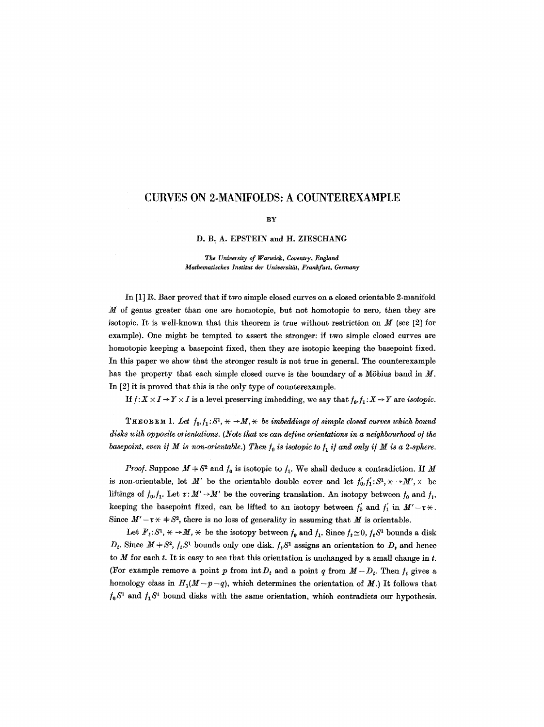## **CURVES ON 2-MANIFOLDS: A COUNTEREXAMPLE**

## **BY**

## D. B. A. EPSTEIN and H. ZIESCHANG

*The University of Warwick, Coventry, England Mathematisches Institut der Universitiit, Frankfurt, Germany* 

In [1] R. Baer proved that if two simple closed curves on a closed orientable 2-manifold  $M$  of genus greater than one are homotopic, but not homotopic to zero, then they are isotopic. It is well-known that this theorem is true without restriction on  $M$  (see [2] for example). One might be tempted to assert the stronger: if two simple closed curves are homotopic keeping a basepoint fixed, then they are isotopic keeping the basepoint fixed. In this paper we show that the stronger result is not true in general. The counterexample has the property that each simple closed curve is the boundary of a Möbius band in  $M$ . In [2] it is proved that this is the only type of eounterexample.

If  $f: X \times I \rightarrow Y \times I$  is a level preserving imbedding, we say that  $f_0, f_1: X \rightarrow Y$  are *isotopic*.

THEOREM 1. Let  $f_0, f_1: S^1, \times \rightarrow M, \times$  be imbeddings of simple closed curves which bound *disks with opposite orientations.* (Note that we can define orientations in a neighbourhood of the *basepoint, even if*  $M$  *is non-orientable.) Then*  $f_0$  *is isotopic to*  $f_1$  *if and only if*  $M$  *is a 2-sphere.* 

*Proof.* Suppose  $M + S^2$  and  $f_0$  is isotopic to  $f_1$ . We shall deduce a contradiction. If M is non-orientable, let M' be the orientable double cover and let  $f'_0, f'_1: S^1, \times \rightarrow M', \times$  be liftings of  $f_0, f_1$ . Let  $\tau : M' \rightarrow M'$  be the covering translation. An isotopy between  $f_0$  and  $f_1$ , keeping the basepoint fixed, can be lifted to an isotopy between  $f'_0$  and  $f'_1$  in  $M'-\tau$ . Since  $M'-\tau \times +S^2$ , there is no loss of generality in assuming that M is orientable.

Let  $F_t: S^1, \times \rightarrow M, \times$  be the isotopy between  $f_0$  and  $f_1$ . Since  $f_t \simeq 0, f_t S^1$  bounds a disk  $D_t$ . Since  $M+S^2$ ,  $f_tS^1$  bounds only one disk.  $f_tS^1$  assigns an orientation to  $D_t$  and hence to  $M$  for each  $t$ . It is easy to see that this orientation is unchanged by a small change in  $t$ . (For example remove a point p from  $\mathrm{int} D_t$  and a point q from  $M-D_t$ . Then  $f_t$  gives a homology class in  $H_1(M-p-q)$ , which determines the orientation of M.) It follows that  $f_0S^1$  and  $f_1S^1$  bound disks with the same orientation, which contradicts our hypothesis.